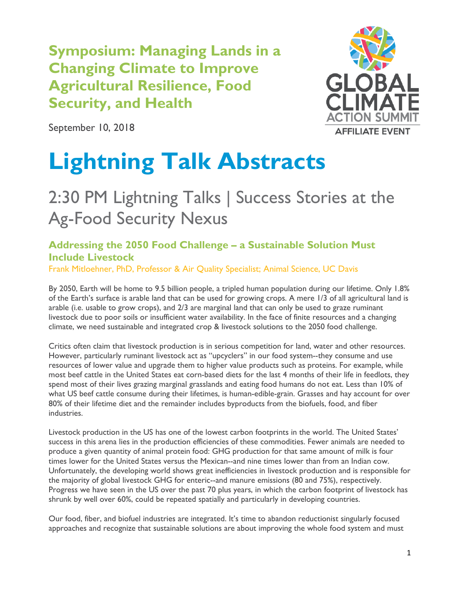**Symposium: Managing Lands in a Changing Climate to Improve Agricultural Resilience, Food Security, and Health**



September 10, 2018

# **Lightning Talk Abstracts**

# 2:30 PM Lightning Talks | Success Stories at the Ag-Food Security Nexus

# **Addressing the 2050 Food Challenge – a Sustainable Solution Must Include Livestock**

Frank Mitloehner, PhD, Professor & Air Quality Specialist; Animal Science, UC Davis

By 2050, Earth will be home to 9.5 billion people, a tripled human population during our lifetime. Only 1.8% of the Earth's surface is arable land that can be used for growing crops. A mere 1/3 of all agricultural land is arable (i.e. usable to grow crops), and 2/3 are marginal land that can only be used to graze ruminant livestock due to poor soils or insufficient water availability. In the face of finite resources and a changing climate, we need sustainable and integrated crop & livestock solutions to the 2050 food challenge.

Critics often claim that livestock production is in serious competition for land, water and other resources. However, particularly ruminant livestock act as "upcyclers" in our food system--they consume and use resources of lower value and upgrade them to higher value products such as proteins. For example, while most beef cattle in the United States eat corn-based diets for the last 4 months of their life in feedlots, they spend most of their lives grazing marginal grasslands and eating food humans do not eat. Less than 10% of what US beef cattle consume during their lifetimes, is human-edible-grain. Grasses and hay account for over 80% of their lifetime diet and the remainder includes byproducts from the biofuels, food, and fiber industries.

Livestock production in the US has one of the lowest carbon footprints in the world. The United States' success in this arena lies in the production efficiencies of these commodities. Fewer animals are needed to produce a given quantity of animal protein food: GHG production for that same amount of milk is four times lower for the United States versus the Mexican--and nine times lower than from an Indian cow. Unfortunately, the developing world shows great inefficiencies in livestock production and is responsible for the majority of global livestock GHG for enteric--and manure emissions (80 and 75%), respectively. Progress we have seen in the US over the past 70 plus years, in which the carbon footprint of livestock has shrunk by well over 60%, could be repeated spatially and particularly in developing countries.

Our food, fiber, and biofuel industries are integrated. It's time to abandon reductionist singularly focused approaches and recognize that sustainable solutions are about improving the whole food system and must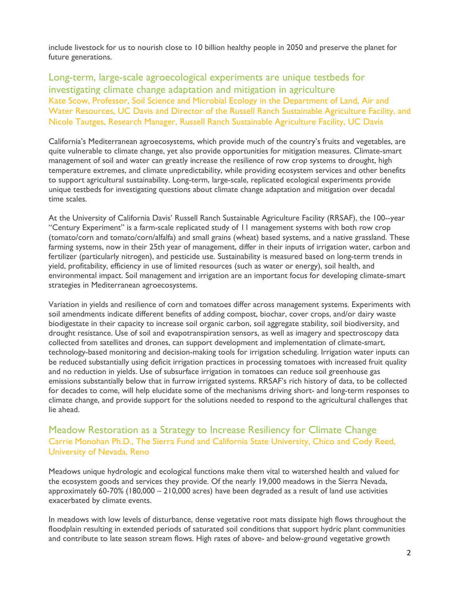include livestock for us to nourish close to 10 billion healthy people in 2050 and preserve the planet for future generations.

Long-term, large-scale agroecological experiments are unique testbeds for investigating climate change adaptation and mitigation in agriculture Kate Scow, Professor, Soil Science and Microbial Ecology in the Department of Land, Air and Water Resources, UC Davis and Director of the Russell Ranch Sustainable Agriculture Facility, and Nicole Tautges, Research Manager, Russell Ranch Sustainable Agriculture Facility, UC Davis

California's Mediterranean agroecosystems, which provide much of the country's fruits and vegetables, are quite vulnerable to climate change, yet also provide opportunities for mitigation measures. Climate-smart management of soil and water can greatly increase the resilience of row crop systems to drought, high temperature extremes, and climate unpredictability, while providing ecosystem services and other benefits to support agricultural sustainability. Long-term, large-scale, replicated ecological experiments provide unique testbeds for investigating questions about climate change adaptation and mitigation over decadal time scales.

At the University of California Davis' Russell Ranch Sustainable Agriculture Facility (RRSAF), the 100--year "Century Experiment" is a farm-scale replicated study of 11 management systems with both row crop (tomato/corn and tomato/corn/alfalfa) and small grains (wheat) based systems, and a native grassland. These farming systems, now in their 25th year of management, differ in their inputs of irrigation water, carbon and fertilizer (particularly nitrogen), and pesticide use. Sustainability is measured based on long-term trends in yield, profitability, efficiency in use of limited resources (such as water or energy), soil health, and environmental impact. Soil management and irrigation are an important focus for developing climate-smart strategies in Mediterranean agroecosystems.

Variation in yields and resilience of corn and tomatoes differ across management systems. Experiments with soil amendments indicate different benefits of adding compost, biochar, cover crops, and/or dairy waste biodigestate in their capacity to increase soil organic carbon, soil aggregate stability, soil biodiversity, and drought resistance. Use of soil and evapotranspiration sensors, as well as imagery and spectroscopy data collected from satellites and drones, can support development and implementation of climate-smart, technology-based monitoring and decision-making tools for irrigation scheduling. Irrigation water inputs can be reduced substantially using deficit irrigation practices in processing tomatoes with increased fruit quality and no reduction in yields. Use of subsurface irrigation in tomatoes can reduce soil greenhouse gas emissions substantially below that in furrow irrigated systems. RRSAF's rich history of data, to be collected for decades to come, will help elucidate some of the mechanisms driving short- and long-term responses to climate change, and provide support for the solutions needed to respond to the agricultural challenges that lie ahead.

#### Meadow Restoration as a Strategy to Increase Resiliency for Climate Change Carrie Monohan Ph.D., The Sierra Fund and California State University, Chico and Cody Reed, University of Nevada, Reno

Meadows unique hydrologic and ecological functions make them vital to watershed health and valued for the ecosystem goods and services they provide. Of the nearly 19,000 meadows in the Sierra Nevada, approximately 60-70% (180,000 – 210,000 acres) have been degraded as a result of land use activities exacerbated by climate events.

In meadows with low levels of disturbance, dense vegetative root mats dissipate high flows throughout the floodplain resulting in extended periods of saturated soil conditions that support hydric plant communities and contribute to late season stream flows. High rates of above- and below-ground vegetative growth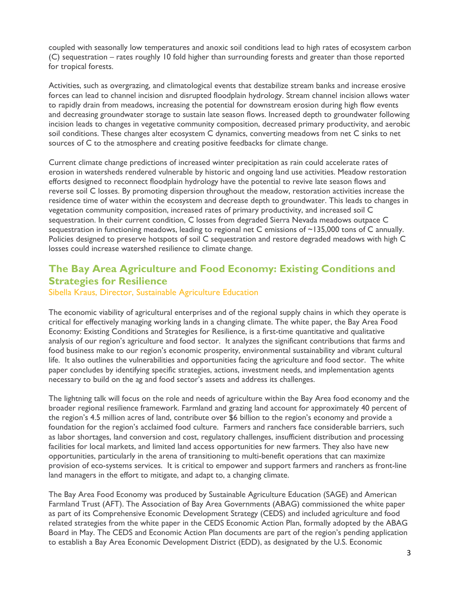coupled with seasonally low temperatures and anoxic soil conditions lead to high rates of ecosystem carbon (C) sequestration – rates roughly 10 fold higher than surrounding forests and greater than those reported for tropical forests.

Activities, such as overgrazing, and climatological events that destabilize stream banks and increase erosive forces can lead to channel incision and disrupted floodplain hydrology. Stream channel incision allows water to rapidly drain from meadows, increasing the potential for downstream erosion during high flow events and decreasing groundwater storage to sustain late season flows. Increased depth to groundwater following incision leads to changes in vegetative community composition, decreased primary productivity, and aerobic soil conditions. These changes alter ecosystem C dynamics, converting meadows from net C sinks to net sources of C to the atmosphere and creating positive feedbacks for climate change.

Current climate change predictions of increased winter precipitation as rain could accelerate rates of erosion in watersheds rendered vulnerable by historic and ongoing land use activities. Meadow restoration efforts designed to reconnect floodplain hydrology have the potential to revive late season flows and reverse soil C losses. By promoting dispersion throughout the meadow, restoration activities increase the residence time of water within the ecosystem and decrease depth to groundwater. This leads to changes in vegetation community composition, increased rates of primary productivity, and increased soil C sequestration. In their current condition, C losses from degraded Sierra Nevada meadows outpace C sequestration in functioning meadows, leading to regional net C emissions of ~135,000 tons of C annually. Policies designed to preserve hotspots of soil C sequestration and restore degraded meadows with high C losses could increase watershed resilience to climate change.

## **The Bay Area Agriculture and Food Economy: Existing Conditions and Strategies for Resilience**

Sibella Kraus, Director, Sustainable Agriculture Education

The economic viability of agricultural enterprises and of the regional supply chains in which they operate is critical for effectively managing working lands in a changing climate. The white paper, the Bay Area Food Economy: Existing Conditions and Strategies for Resilience, is a first-time quantitative and qualitative analysis of our region's agriculture and food sector. It analyzes the significant contributions that farms and food business make to our region's economic prosperity, environmental sustainability and vibrant cultural life. It also outlines the vulnerabilities and opportunities facing the agriculture and food sector. The white paper concludes by identifying specific strategies, actions, investment needs, and implementation agents necessary to build on the ag and food sector's assets and address its challenges.

The lightning talk will focus on the role and needs of agriculture within the Bay Area food economy and the broader regional resilience framework. Farmland and grazing land account for approximately 40 percent of the region's 4.5 million acres of land, contribute over \$6 billion to the region's economy and provide a foundation for the region's acclaimed food culture. Farmers and ranchers face considerable barriers, such as labor shortages, land conversion and cost, regulatory challenges, insufficient distribution and processing facilities for local markets, and limited land access opportunities for new farmers. They also have new opportunities, particularly in the arena of transitioning to multi-benefit operations that can maximize provision of eco-systems services. It is critical to empower and support farmers and ranchers as front-line land managers in the effort to mitigate, and adapt to, a changing climate.

The Bay Area Food Economy was produced by Sustainable Agriculture Education (SAGE) and American Farmland Trust (AFT). The Association of Bay Area Governments (ABAG) commissioned the white paper as part of its Comprehensive Economic Development Strategy (CEDS) and included agriculture and food related strategies from the white paper in the CEDS Economic Action Plan, formally adopted by the ABAG Board in May. The CEDS and Economic Action Plan documents are part of the region's pending application to establish a Bay Area Economic Development District (EDD), as designated by the U.S. Economic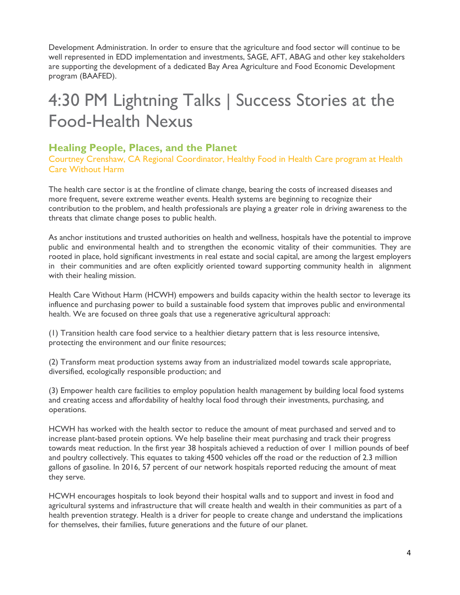Development Administration. In order to ensure that the agriculture and food sector will continue to be well represented in EDD implementation and investments, SAGE, AFT, ABAG and other key stakeholders are supporting the development of a dedicated Bay Area Agriculture and Food Economic Development program (BAAFED).

# 4:30 PM Lightning Talks | Success Stories at the Food-Health Nexus

#### **Healing People, Places, and the Planet**

Courtney Crenshaw, CA Regional Coordinator, Healthy Food in Health Care program at Health Care Without Harm

The health care sector is at the frontline of climate change, bearing the costs of increased diseases and more frequent, severe extreme weather events. Health systems are beginning to recognize their contribution to the problem, and health professionals are playing a greater role in driving awareness to the threats that climate change poses to public health.

As anchor institutions and trusted authorities on health and wellness, hospitals have the potential to improve public and environmental health and to strengthen the economic vitality of their communities. They are rooted in place, hold significant investments in real estate and social capital, are among the largest employers in their communities and are often explicitly oriented toward supporting community health in alignment with their healing mission.

Health Care Without Harm (HCWH) empowers and builds capacity within the health sector to leverage its influence and purchasing power to build a sustainable food system that improves public and environmental health. We are focused on three goals that use a regenerative agricultural approach:

(1) Transition health care food service to a healthier dietary pattern that is less resource intensive, protecting the environment and our finite resources;

(2) Transform meat production systems away from an industrialized model towards scale appropriate, diversified, ecologically responsible production; and

(3) Empower health care facilities to employ population health management by building local food systems and creating access and affordability of healthy local food through their investments, purchasing, and operations.

HCWH has worked with the health sector to reduce the amount of meat purchased and served and to increase plant-based protein options. We help baseline their meat purchasing and track their progress towards meat reduction. In the first year 38 hospitals achieved a reduction of over 1 million pounds of beef and poultry collectively. This equates to taking 4500 vehicles off the road or the reduction of 2.3 million gallons of gasoline. In 2016, 57 percent of our network hospitals reported reducing the amount of meat they serve.

HCWH encourages hospitals to look beyond their hospital walls and to support and invest in food and agricultural systems and infrastructure that will create health and wealth in their communities as part of a health prevention strategy. Health is a driver for people to create change and understand the implications for themselves, their families, future generations and the future of our planet.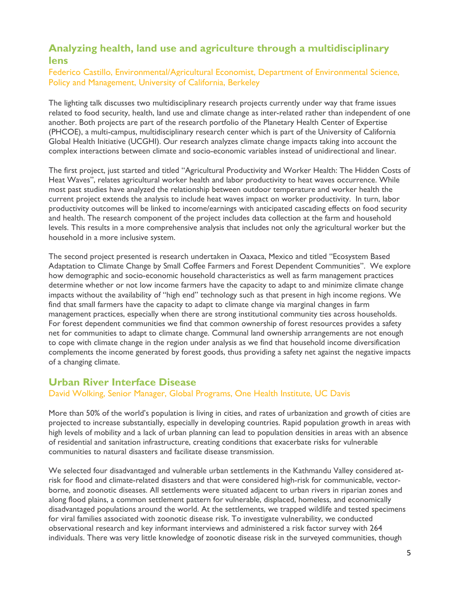# **Analyzing health, land use and agriculture through a multidisciplinary lens**

#### Federico Castillo, Environmental/Agricultural Economist, Department of Environmental Science, Policy and Management, University of California, Berkeley

The lighting talk discusses two multidisciplinary research projects currently under way that frame issues related to food security, health, land use and climate change as inter-related rather than independent of one another. Both projects are part of the research portfolio of the Planetary Health Center of Expertise (PHCOE), a multi-campus, multidisciplinary research center which is part of the University of California Global Health Initiative (UCGHI). Our research analyzes climate change impacts taking into account the complex interactions between climate and socio-economic variables instead of unidirectional and linear.

The first project, just started and titled "Agricultural Productivity and Worker Health: The Hidden Costs of Heat Waves", relates agricultural worker health and labor productivity to heat waves occurrence. While most past studies have analyzed the relationship between outdoor temperature and worker health the current project extends the analysis to include heat waves impact on worker productivity. In turn, labor productivity outcomes will be linked to income/earnings with anticipated cascading effects on food security and health. The research component of the project includes data collection at the farm and household levels. This results in a more comprehensive analysis that includes not only the agricultural worker but the household in a more inclusive system.

The second project presented is research undertaken in Oaxaca, Mexico and titled "Ecosystem Based Adaptation to Climate Change by Small Coffee Farmers and Forest Dependent Communities". We explore how demographic and socio-economic household characteristics as well as farm management practices determine whether or not low income farmers have the capacity to adapt to and minimize climate change impacts without the availability of "high end" technology such as that present in high income regions. We find that small farmers have the capacity to adapt to climate change via marginal changes in farm management practices, especially when there are strong institutional community ties across households. For forest dependent communities we find that common ownership of forest resources provides a safety net for communities to adapt to climate change. Communal land ownership arrangements are not enough to cope with climate change in the region under analysis as we find that household income diversification complements the income generated by forest goods, thus providing a safety net against the negative impacts of a changing climate.

### **Urban River Interface Disease**

#### David Wolking, Senior Manager, Global Programs, One Health Institute, UC Davis

More than 50% of the world's population is living in cities, and rates of urbanization and growth of cities are projected to increase substantially, especially in developing countries. Rapid population growth in areas with high levels of mobility and a lack of urban planning can lead to population densities in areas with an absence of residential and sanitation infrastructure, creating conditions that exacerbate risks for vulnerable communities to natural disasters and facilitate disease transmission.

We selected four disadvantaged and vulnerable urban settlements in the Kathmandu Valley considered atrisk for flood and climate-related disasters and that were considered high-risk for communicable, vectorborne, and zoonotic diseases. All settlements were situated adjacent to urban rivers in riparian zones and along flood plains, a common settlement pattern for vulnerable, displaced, homeless, and economically disadvantaged populations around the world. At the settlements, we trapped wildlife and tested specimens for viral families associated with zoonotic disease risk. To investigate vulnerability, we conducted observational research and key informant interviews and administered a risk factor survey with 264 individuals. There was very little knowledge of zoonotic disease risk in the surveyed communities, though